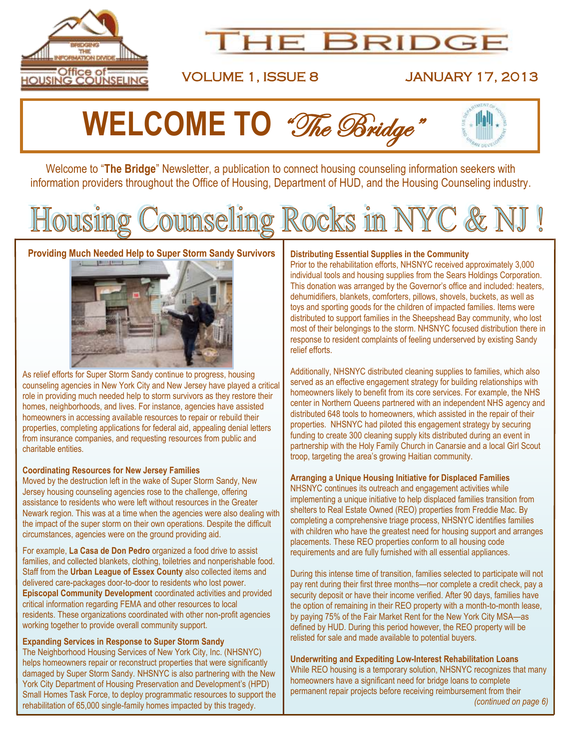

# **HE BRIDGE**

VOLUME 1, ISSUE 8 JANUARY 17, 2013

# **WELCOME TO** "The Bridge"

Welcome to "The Bridge" Newsletter, a publication to connect housing counseling information seekers with information providers throughout the Office of Housing, Department of HUD, and the Housing Counseling industry.

# Housing Counseling Rocks in NYC & NJ

### **Providing Much Needed Help to Super Storm Sandy Survivors**



As relief efforts for Super Storm Sandy continue to progress, housing counseling agencies in New York City and New Jersey have played a critical role in providing much needed help to storm survivors as they restore their homes, neighborhoods, and lives. For instance, agencies have assisted homeowners in accessing available resources to repair or rebuild their properties, completing applications for federal aid, appealing denial letters from insurance companies, and requesting resources from public and charitable entities.

#### **Coordinating Resources for New Jersey Families**

Moved by the destruction left in the wake of Super Storm Sandy, New Jersey housing counseling agencies rose to the challenge, offering assistance to residents who were left without resources in the Greater Newark region. This was at a time when the agencies were also dealing with the impact of the super storm on their own operations. Despite the difficult circumstances, agencies were on the ground providing aid.

For example, **La Casa de Don Pedro** organized a food drive to assist families, and collected blankets, clothing, toiletries and nonperishable food. Staff from the **Urban League of Essex County** also collected items and delivered care-packages door-to-door to residents who lost power. **Episcopal Community Development** coordinated activities and provided critical information regarding FEMA and other resources to local residents. These organizations coordinated with other non-profit agencies working together to provide overall community support.

### **Expanding Services in Response to Super Storm Sandy**

The Neighborhood Housing Services of New York City, Inc. (NHSNYC) helps homeowners repair or reconstruct properties that were significantly damaged by Super Storm Sandy. NHSNYC is also partnering with the New York City Department of Housing Preservation and Development's (HPD) Small Homes Task Force, to deploy programmatic resources to support the rehabilitation of 65,000 single-family homes impacted by this tragedy.

### **Distributing Essential Supplies in the Community**

Prior to the rehabilitation efforts, NHSNYC received approximately 3,000 individual tools and housing supplies from the Sears Holdings Corporation. This donation was arranged by the Governor's office and included: heaters, dehumidifiers, blankets, comforters, pillows, shovels, buckets, as well as toys and sporting goods for the children of impacted families. Items were distributed to support families in the Sheepshead Bay community, who lost most of their belongings to the storm. NHSNYC focused distribution there in response to resident complaints of feeling underserved by existing Sandy relief efforts.

Additionally, NHSNYC distributed cleaning supplies to families, which also served as an effective engagement strategy for building relationships with homeowners likely to benefit from its core services. For example, the NHS center in Northern Queens partnered with an independent NHS agency and distributed 648 tools to homeowners, which assisted in the repair of their properties. NHSNYC had piloted this engagement strategy by securing funding to create 300 cleaning supply kits distributed during an event in partnership with the Holy Family Church in Canarsie and a local Girl Scout troop, targeting the area's growing Haitian community.

#### **Arranging a Unique Housing Initiative for Displaced Families**

NHSNYC continues its outreach and engagement activities while implementing a unique initiative to help displaced families transition from shelters to Real Estate Owned (REO) properties from Freddie Mac. By completing a comprehensive triage process, NHSNYC identifies families with children who have the greatest need for housing support and arranges placements. These REO properties conform to all housing code requirements and are fully furnished with all essential appliances.

During this intense time of transition, families selected to participate will not pay rent during their first three months—nor complete a credit check, pay a security deposit or have their income verified. After 90 days, families have the option of remaining in their REO property with a month-to-month lease, by paying 75% of the Fair Market Rent for the New York City MSA—as defined by HUD. During this period however, the REO property will be relisted for sale and made available to potential buyers.

**Underwriting and Expediting Low-Interest Rehabilitation Loans**  While REO housing is a temporary solution, NHSNYC recognizes that many homeowners have a significant need for bridge loans to complete permanent repair projects before receiving reimbursement from their *(continued on page 6)*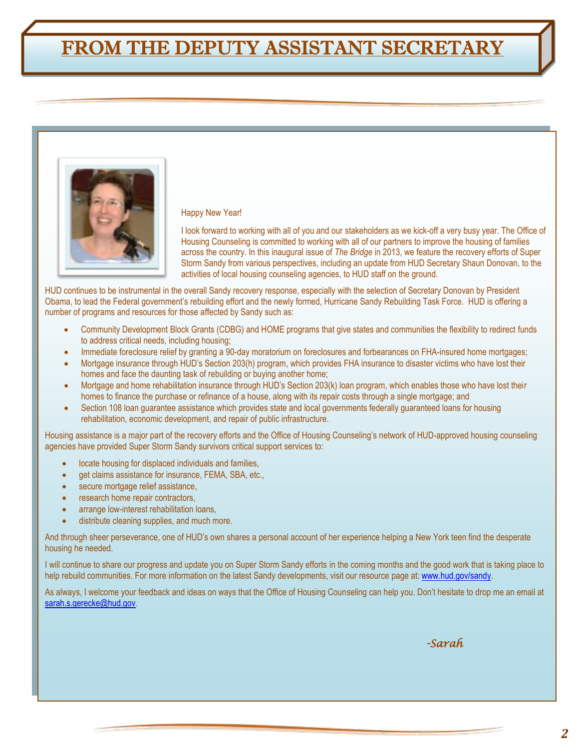## FROM THE DEPUTY ASSISTANT SECRETARY



#### Happy New Year!

I look forward to working with all of you and our stakeholders as we kick-off a very busy year. The Office of Housing Counseling is committed to working with all of our partners to improve the housing of families across the country. In this inaugural issue of *The Bridge* in 2013, we feature the recovery efforts of Super Storm Sandy from various perspectives, including an update from HUD Secretary Shaun Donovan, to the activities of local housing counseling agencies, to HUD staff on the ground.

HUD continues to be instrumental in the overall Sandy recovery response, especially with the selection of Secretary Donovan by President Obama, to lead the Federal government's rebuilding effort and the newly formed, Hurricane Sandy Rebuilding Task Force. HUD is offering a number of programs and resources for those affected by Sandy such as:

- Community Development Block Grants (CDBG) and HOME programs that give states and communities the flexibility to redirect funds to address critical needs, including housing;
- Immediate foreclosure relief by granting a 90-day moratorium on foreclosures and forbearances on FHA-insured home mortgages;
- Mortgage insurance through HUD's Section 203(h) program, which provides FHA insurance to disaster victims who have lost their homes and face the daunting task of rebuilding or buying another home;
- Mortgage and home rehabilitation insurance through HUD's Section 203(k) loan program, which enables those who have lost their homes to finance the purchase or refinance of a house, along with its repair costs through a single mortgage; and
- Section 108 loan guarantee assistance which provides state and local governments federally guaranteed loans for housing rehabilitation, economic development, and repair of public infrastructure.

Housing assistance is a major part of the recovery efforts and the Office of Housing Counseling's network of HUD-approved housing counseling agencies have provided Super Storm Sandy survivors critical support services to:

- locate housing for displaced individuals and families,
- get claims assistance for insurance, FEMA, SBA, etc.,
- secure mortgage relief assistance,
- research home repair contractors,
- arrange low-interest rehabilitation loans,
- distribute cleaning supplies, and much more.

And through sheer perseverance, one of HUD's own shares a personal account of her experience helping a New York teen find the desperate housing he needed.

I will continue to share our progress and update you on Super Storm Sandy efforts in the coming months and the good work that is taking place to help rebuild communities. For more information on the latest Sandy developments, visit our resource page at: [www.hud.gov/sandy.](http://www.hud.gov/sandy) 

As always, I welcome your feedback and ideas on ways that the Office of Housing Counseling can help you. Don't hesitate to drop me an email at [sarah.s.gerecke@hud.gov.](mailto:sarah.s.gerecke@hud.gov)

 *-Sarah*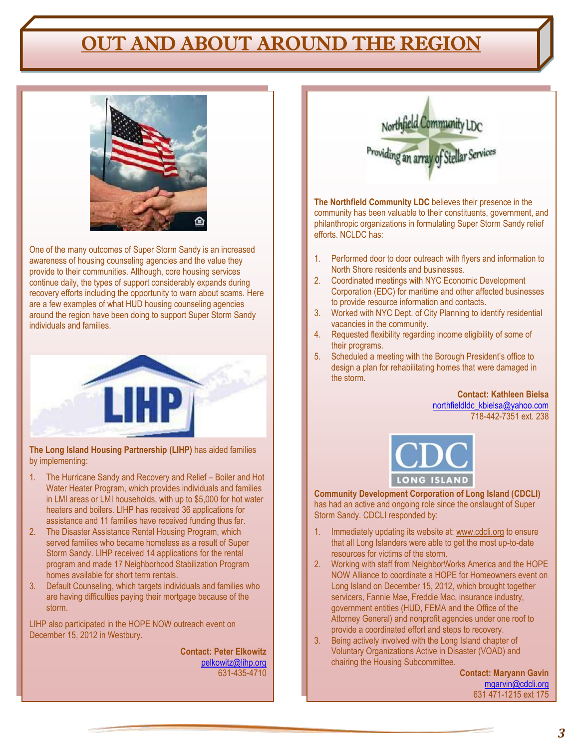## OUT AND ABOUT AROUND THE REGION



One of the many outcomes of Super Storm Sandy is an increased awareness of housing counseling agencies and the value they provide to their communities. Although, core housing services continue daily, the types of support considerably expands during recovery efforts including the opportunity to warn about scams. Here are a few examples of what HUD housing counseling agencies around the region have been doing to support Super Storm Sandy individuals and families.



**The Long Island Housing Partnership (LIHP)** has aided families by implementing:

- 1. The Hurricane Sandy and Recovery and Relief Boiler and Hot Water Heater Program, which provides individuals and families in LMI areas or LMI households, with up to \$5,000 for hot water heaters and boilers. LIHP has received 36 applications for assistance and 11 families have received funding thus far.
- 2. The Disaster Assistance Rental Housing Program, which served families who became homeless as a result of Super Storm Sandy. LIHP received 14 applications for the rental program and made 17 Neighborhood Stabilization Program homes available for short term rentals.
- 3. Default Counseling, which targets individuals and families who are having difficulties paying their mortgage because of the storm.

LIHP also participated in the HOPE NOW outreach event on December 15, 2012 in Westbury.

> **Contact: Peter Elkowitz** [pelkowitz@lihp.org](mailto:pelkowitz@lihp.org) 631-435-4710



**The Northfield Community LDC** believes their presence in the community has been valuable to their constituents, government, and philanthropic organizations in formulating Super Storm Sandy relief efforts. NCLDC has:

- 1. Performed door to door outreach with flyers and information to North Shore residents and businesses.
- 2. Coordinated meetings with NYC Economic Development Corporation (EDC) for maritime and other affected businesses to provide resource information and contacts.
- 3. Worked with NYC Dept. of City Planning to identify residential vacancies in the community.
- 4. Requested flexibility regarding income eligibility of some of their programs.
- 5. Scheduled a meeting with the Borough President's office to design a plan for rehabilitating homes that were damaged in the storm.

**Contact: Kathleen Bielsa** [northfieldldc\\_kbielsa@yahoo.com](mailto:northfieldldc_kbielsa@yahoo.com) 718-442-7351 ext. 238



**Community Development Corporation of Long Island (CDCLI)** has had an active and ongoing role since the onslaught of Super Storm Sandy. CDCLI responded by:

- 1. Immediately updating its website at[: www.cdcli.org](http://www.cdcli.org/) to ensure that all Long Islanders were able to get the most up-to-date resources for victims of the storm.
- 2. Working with staff from NeighborWorks America and the HOPE NOW Alliance to coordinate a HOPE for Homeowners event on Long Island on December 15, 2012, which brought together servicers, Fannie Mae, Freddie Mac, insurance industry, government entities (HUD, FEMA and the Office of the Attorney General) and nonprofit agencies under one roof to provide a coordinated effort and steps to recovery.
- 3. Being actively involved with the Long Island chapter of Voluntary Organizations Active in Disaster (VOAD) and chairing the Housing Subcommittee.

**Contact: Maryann Gavin** [mgarvin@cdcli.org](mailto:mgarvin@cdcli.org) 631 471-1215 ext 175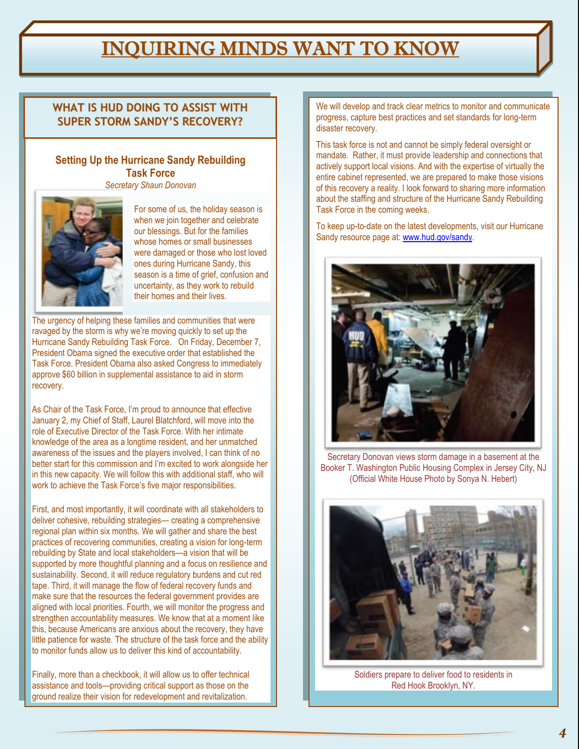### **THE BRIDGE TO RECOGNIZE THE BRIDGE TO RECOGNIZE WHO HAVE PROVIDED INTO THE BRIDGE IN THE HOUSING WHO HAVE PROVIDED COUNSELING MINDS WANT TO KNOW ARE ALL AREA**

**welcomed. Please send your nominations by the 20th of each month to [thebridge@hud.gov.](mailto:thebridge@hud.gov)**

### **SUPER STORM SANDY'S RECOVERY?**  $\begin{bmatrix} \text{progress, capture best pra} \\ \text{disaster recovery.} \end{bmatrix}$ **WHAT IS HUD DOING TO ASSIST WITH**

### **Setting Up the Hurricane Sandy Rebuilding Task Force**

*[Secretary Shaun Donovan](http://blog.hud.gov/index.php/author/secretary-shaun-donovan/)*



For some of us, the holiday season is when we join together and celebrate our blessings. But for the families whose homes or small businesses were damaged or those who lost loved ones during Hurricane Sandy, this season is a time of grief, confusion and uncertainty, as they work to rebuild their homes and their lives.

The urgency of helping these families and communities that were ravaged by the storm is why we're moving quickly to set up the [Hurricane Sandy Rebuilding Task Force.](http://www.whitehouse.gov/the-press-office/2012/12/07/executive-order-establishing-hurricane-sandy-rebuilding-task-force) On Friday, December 7, President Obama signed the [executive order](http://www.whitehouse.gov/the-press-office/2012/12/07/executive-order-establishing-hurricane-sandy-rebuilding-task-force) that established the Task Force. President Obama also asked Congress to immediately approve \$60 billion in supplemental assistance to aid in storm recovery.

As Chair of the Task Force, I'm proud to announce that effective January 2, my Chief of Staff, Laurel Blatchford, will move into the role of Executive Director of the Task Force. With her intimate knowledge of the area as a longtime resident, and her unmatched awareness of the issues and the players involved, I can think of no better start for this commission and I'm excited to work alongside her in this new capacity. We will follow this with additional staff, who will work to achieve the Task Force's five major responsibilities.

First, and most importantly, it will coordinate with all stakeholders to deliver cohesive, rebuilding strategies— creating a comprehensive regional plan within six months. We will gather and share the best practices of recovering communities, creating a vision for long-term rebuilding by State and local stakeholders—a vision that will be supported by more thoughtful planning and a focus on resilience and sustainability. Second, it will reduce regulatory burdens and cut red tape. Third, it will manage the flow of federal recovery funds and make sure that the resources the federal government provides are aligned with local priorities. Fourth, we will monitor the progress and strengthen accountability measures. We know that at a moment like this, because Americans are anxious about the recovery, they have little patience for waste. The structure of the task force and the ability to monitor funds allow us to deliver this kind of accountability.

Finally, more than a checkbook, it will allow us to offer technical assistance and tools—providing critical support as those on the ground realize their vision for redevelopment and revitalization.

We will develop and track clear metrics to monitor and communicate progress, capture best practices and set standards for long-term disaster recovery.

This task force is not and cannot be simply federal oversight or mandate. Rather, it must provide leadership and connections that actively support local visions. And with the expertise of virtually the entire cabinet represented, we are prepared to make those visions of this recovery a reality. I look forward to sharing more information about the staffing and structure of the Hurricane Sandy Rebuilding Task Force in the coming weeks.

To keep up-to-date on the latest developments, visit our Hurricane Sandy resource page at: [www.hud.gov/sandy.](http://www.hud.gov/sandy)



Secretary Donovan views storm damage in a basement at the Booker T. Washington Public Housing Complex in Jersey City, NJ (Official White House Photo by Sonya N. Hebert)



Soldiers prepare to deliver food to residents in Red Hook Brooklyn, NY.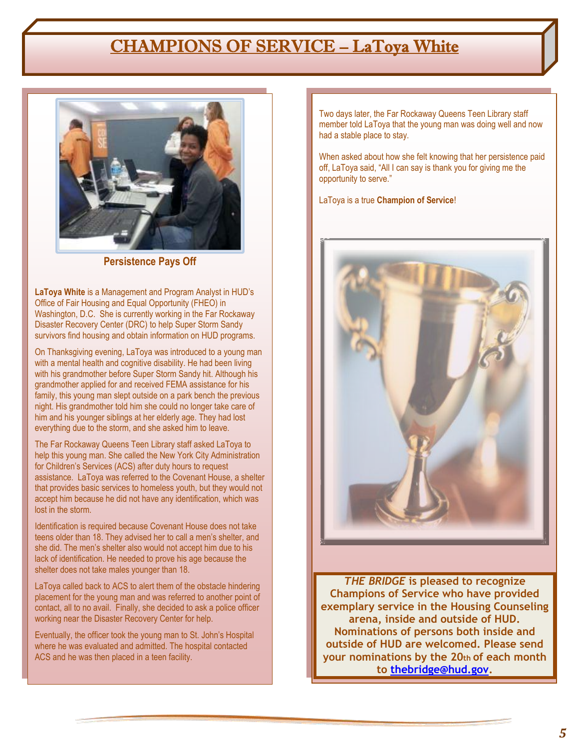### CHAMPIONS OF SERVICE – LaToya White



**Persistence Pays Off**

**LaToya White** is a Management and Program Analyst in HUD's Office of Fair Housing and Equal Opportunity (FHEO) in Washington, D.C. She is currently working in the Far Rockaway Disaster Recovery Center (DRC) to help Super Storm Sandy survivors find housing and obtain information on HUD programs.

On Thanksgiving evening, LaToya was introduced to a young man with a mental health and cognitive disability. He had been living with his grandmother before Super Storm Sandy hit. Although his grandmother applied for and received FEMA assistance for his family, this young man slept outside on a park bench the previous night. His grandmother told him she could no longer take care of him and his younger siblings at her elderly age. They had lost everything due to the storm, and she asked him to leave.

The Far Rockaway Queens Teen Library staff asked LaToya to help this young man. She called the New York City Administration for Children's Services (ACS) after duty hours to request assistance. LaToya was referred to the Covenant House, a shelter that provides basic services to homeless youth, but they would not accept him because he did not have any identification, which was lost in the storm.

Identification is required because Covenant House does not take teens older than 18. They advised her to call a men's shelter, and she did. The men's shelter also would not accept him due to his lack of identification. He needed to prove his age because the shelter does not take males younger than 18.

LaToya called back to ACS to alert them of the obstacle hindering placement for the young man and was referred to another point of contact, all to no avail. Finally, she decided to ask a police officer working near the Disaster Recovery Center for help.

Eventually, the officer took the young man to St. John's Hospital where he was evaluated and admitted. The hospital contacted ACS and he was then placed in a teen facility.

Two days later, the Far Rockaway Queens Teen Library staff member told LaToya that the young man was doing well and now had a stable place to stay.

When asked about how she felt knowing that her persistence paid off, LaToya said, "All I can say is thank you for giving me the opportunity to serve."

LaToya is a true **Champion of Service**!



*THE BRIDGE* **is pleased to recognize Champions of Service who have provided exemplary service in the Housing Counseling arena, inside and outside of HUD. Nominations of persons both inside and outside of HUD are welcomed. Please send your nominations by the 20th of each month to [thebridge@hud.gov.](mailto:thebridge@hud.gov)**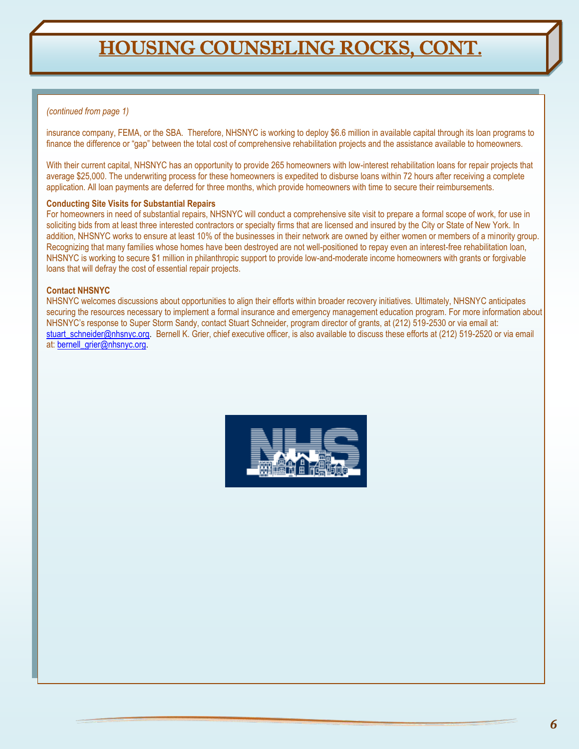## HOUSING COUNSELING ROCKS, CONT.

### *(continued from page 1)*

insurance company, FEMA, or the SBA. Therefore, NHSNYC is working to deploy \$6.6 million in available capital through its loan programs to finance the difference or "gap" between the total cost of comprehensive rehabilitation projects and the assistance available to homeowners.

With their current capital, NHSNYC has an opportunity to provide 265 homeowners with low-interest rehabilitation loans for repair projects that average \$25,000. The underwriting process for these homeowners is expedited to disburse loans within 72 hours after receiving a complete application. All loan payments are deferred for three months, which provide homeowners with time to secure their reimbursements.

#### **Conducting Site Visits for Substantial Repairs**

For homeowners in need of substantial repairs, NHSNYC will conduct a comprehensive site visit to prepare a formal scope of work, for use in soliciting bids from at least three interested contractors or specialty firms that are licensed and insured by the City or State of New York. In addition, NHSNYC works to ensure at least 10% of the businesses in their network are owned by either women or members of a minority group. Recognizing that many families whose homes have been destroyed are not well-positioned to repay even an interest-free rehabilitation loan, NHSNYC is working to secure \$1 million in philanthropic support to provide low-and-moderate income homeowners with grants or forgivable loans that will defray the cost of essential repair projects.

#### **Contact NHSNYC**

NHSNYC welcomes discussions about opportunities to align their efforts within broader recovery initiatives. Ultimately, NHSNYC anticipates securing the resources necessary to implement a formal insurance and emergency management education program. For more information about NHSNYC's response to Super Storm Sandy, contact Stuart Schneider, program director of grants, at (212) 519-2530 or via email at: [stuart\\_schneider@nhsnyc.org.](mailto:stuart_schneider@nhsnyc.org) Bernell K. Grier, chief executive officer, is also available to discuss these efforts at (212) 519-2520 or via email at: [bernell\\_grier@nhsnyc.org.](mailto:bernell_grier@nhsnyc.org)